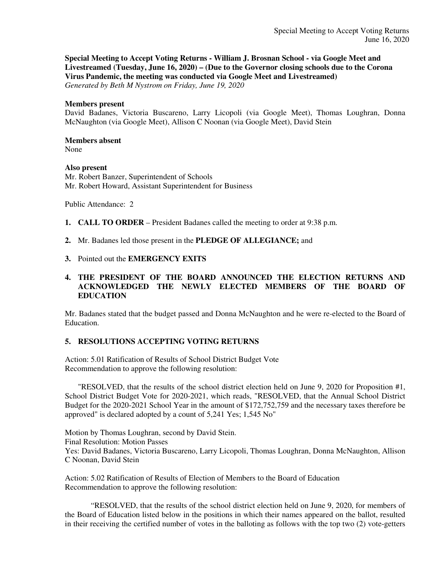**Special Meeting to Accept Voting Returns - William J. Brosnan School - via Google Meet and Livestreamed (Tuesday, June 16, 2020) – (Due to the Governor closing schools due to the Corona Virus Pandemic, the meeting was conducted via Google Meet and Livestreamed)** *Generated by Beth M Nystrom on Friday, June 19, 2020*

#### **Members present**

David Badanes, Victoria Buscareno, Larry Licopoli (via Google Meet), Thomas Loughran, Donna McNaughton (via Google Meet), Allison C Noonan (via Google Meet), David Stein

### **Members absent**

None

### **Also present**

Mr. Robert Banzer, Superintendent of Schools Mr. Robert Howard, Assistant Superintendent for Business

Public Attendance: 2

- **1. CALL TO ORDER** President Badanes called the meeting to order at 9:38 p.m.
- **2.** Mr. Badanes led those present in the **PLEDGE OF ALLEGIANCE;** and
- **3.** Pointed out the **EMERGENCY EXITS**

# **4. THE PRESIDENT OF THE BOARD ANNOUNCED THE ELECTION RETURNS AND ACKNOWLEDGED THE NEWLY ELECTED MEMBERS OF THE BOARD OF EDUCATION**

Mr. Badanes stated that the budget passed and Donna McNaughton and he were re-elected to the Board of Education.

## **5. RESOLUTIONS ACCEPTING VOTING RETURNS**

Action: 5.01 Ratification of Results of School District Budget Vote Recommendation to approve the following resolution:

"RESOLVED, that the results of the school district election held on June 9, 2020 for Proposition #1, School District Budget Vote for 2020-2021, which reads, "RESOLVED, that the Annual School District Budget for the 2020-2021 School Year in the amount of \$172,752,759 and the necessary taxes therefore be approved" is declared adopted by a count of 5,241 Yes; 1,545 No"

Motion by Thomas Loughran, second by David Stein. Final Resolution: Motion Passes Yes: David Badanes, Victoria Buscareno, Larry Licopoli, Thomas Loughran, Donna McNaughton, Allison C Noonan, David Stein

Action: 5.02 Ratification of Results of Election of Members to the Board of Education Recommendation to approve the following resolution:

"RESOLVED, that the results of the school district election held on June 9, 2020, for members of the Board of Education listed below in the positions in which their names appeared on the ballot, resulted in their receiving the certified number of votes in the balloting as follows with the top two (2) vote-getters